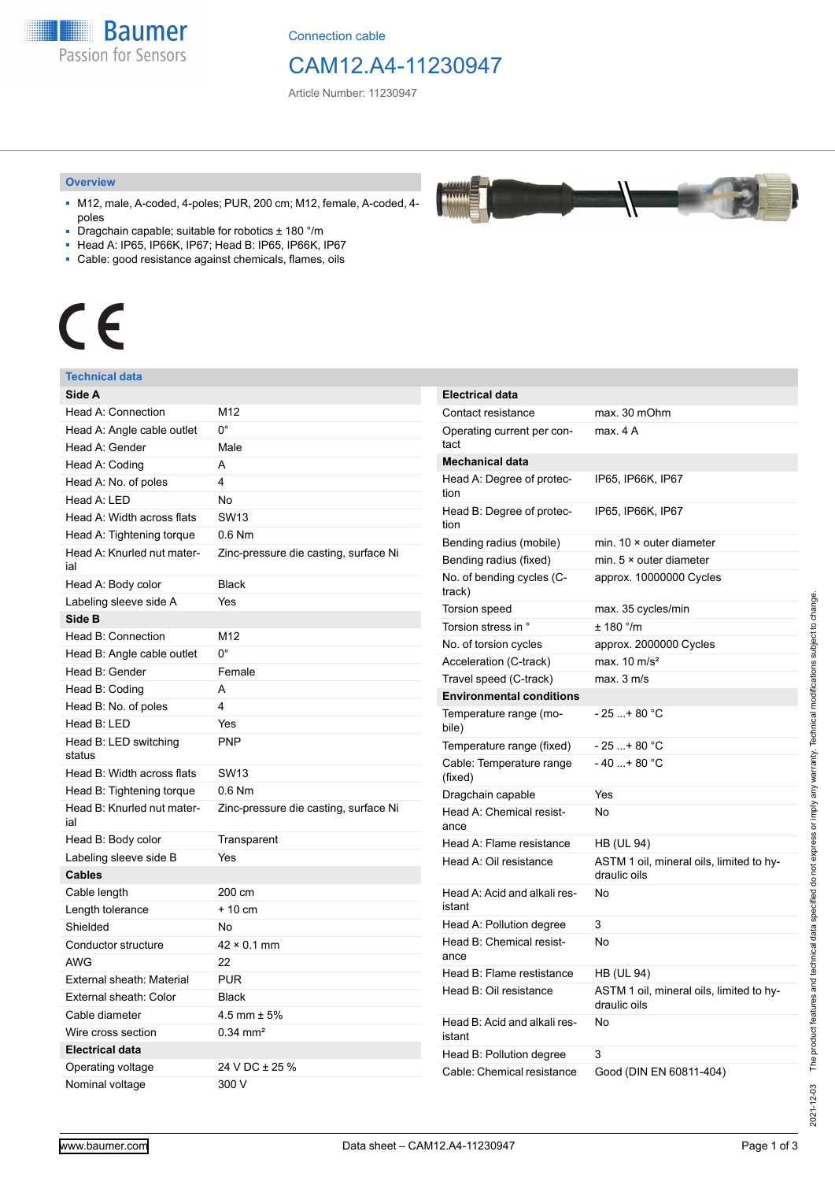**Baumer** Passion for Sensors

Connection cable

## CAM12.A4-11230947

Article Number: 11230947

#### **Overview**

- M12, male, A-coded, 4-poles; PUR, 200 cm; M12, female, A-coded, 4 poles
- Dragchain capable; suitable for robotics ± 180 °/m
- Head A: IP65, IP66K, IP67; Head B: IP65, IP66K, IP67
- Cable: good resistance against chemicals, flames, oils

# $\epsilon$

#### **Technical data**

| Side A                            |                                       |
|-----------------------------------|---------------------------------------|
| Head A: Connection                | M12                                   |
| Head A: Angle cable outlet        | 0°                                    |
| Head A: Gender                    | Male                                  |
| Head A: Coding                    | А                                     |
| Head A: No. of poles              | 4                                     |
| Head A: LED                       | <b>No</b>                             |
| Head A: Width across flats        | <b>SW13</b>                           |
| Head A: Tightening torque         | $0.6$ Nm                              |
| Head A: Knurled nut mater-<br>ial | Zinc-pressure die casting, surface Ni |
| Head A: Body color                | <b>Black</b>                          |
| Labeling sleeve side A            | Yes                                   |
| Side B                            |                                       |
| Head B: Connection                | M12                                   |
| Head B: Angle cable outlet        | $0^{\circ}$                           |
| Head B: Gender                    | Female                                |
| Head B: Coding                    | A                                     |
| Head B: No. of poles              | 4                                     |
| Head B: LED                       | Yes                                   |
| Head B: LED switching<br>status   | <b>PNP</b>                            |
| Head B: Width across flats        | <b>SW13</b>                           |
| Head B: Tightening torque         | $0.6$ Nm                              |
| Head B: Knurled nut mater-<br>ial | Zinc-pressure die casting, surface Ni |
| Head B: Body color                | Transparent                           |
| Labeling sleeve side B            | Yes                                   |
| <b>Cables</b>                     |                                       |
| Cable length                      | 200 cm                                |
| Length tolerance                  | $+10$ cm                              |
| Shielded                          | No                                    |
| Conductor structure               | $42 \times 0.1$ mm                    |
| <b>AWG</b>                        | 22                                    |
| External sheath: Material         | <b>PUR</b>                            |
| External sheath: Color            | <b>Black</b>                          |
| Cable diameter                    | 4.5 mm $\pm$ 5%                       |
| Wire cross section                | $0.34 \, \text{mm}^2$                 |
| <b>Electrical data</b>            |                                       |
| Operating voltage                 | 24 V DC ± 25 %                        |
| Nominal voltage                   | 300 V                                 |

| <b>Electrical data</b>                 |                                                          |
|----------------------------------------|----------------------------------------------------------|
| Contact resistance                     | max. 30 mOhm                                             |
| Operating current per con-<br>tact     | max. 4 A                                                 |
| <b>Mechanical data</b>                 |                                                          |
| Head A: Degree of protec-<br>tion      | IP65, IP66K, IP67                                        |
| Head B: Degree of protec-<br>tion      | IP65, IP66K, IP67                                        |
| Bending radius (mobile)                | min. $10 \times$ outer diameter                          |
| Bending radius (fixed)                 | min. $5 \times$ outer diameter                           |
| No. of bending cycles (C-<br>track)    | approx. 10000000 Cycles                                  |
| <b>Torsion speed</b>                   | max. 35 cycles/min                                       |
| Torsion stress in °                    | ± 180 °/m                                                |
| No. of torsion cycles                  | approx. 2000000 Cycles                                   |
| Acceleration (C-track)                 | max. $10 \text{ m/s}^2$                                  |
| Travel speed (C-track)                 | max. 3 m/s                                               |
| <b>Environmental conditions</b>        |                                                          |
| Temperature range (mo-<br>bile)        | - 25 + 80 °C                                             |
| Temperature range (fixed)              | - 25 + 80 °C                                             |
| Cable: Temperature range<br>(fixed)    | - 40 + 80 °C                                             |
| Dragchain capable                      | Yes                                                      |
| Head A: Chemical resist-<br>ance       | No                                                       |
| Head A: Flame resistance               | <b>HB (UL 94)</b>                                        |
| Head A: Oil resistance                 | ASTM 1 oil, mineral oils, limited to hy-<br>draulic oils |
| Head A: Acid and alkali res-<br>istant | No                                                       |
| Head A: Pollution degree               | 3                                                        |
| Head B: Chemical resist-<br>ance       | No                                                       |
| Head B: Flame restistance              | HB (UL 94)                                               |
| Head B: Oil resistance                 | ASTM 1 oil, mineral oils, limited to hy-<br>draulic oils |
| Head B: Acid and alkali res-<br>istant | No                                                       |
| Head B: Pollution degree               | 3                                                        |
| Cable: Chemical resistance             | Good (DIN EN 60811-404)                                  |

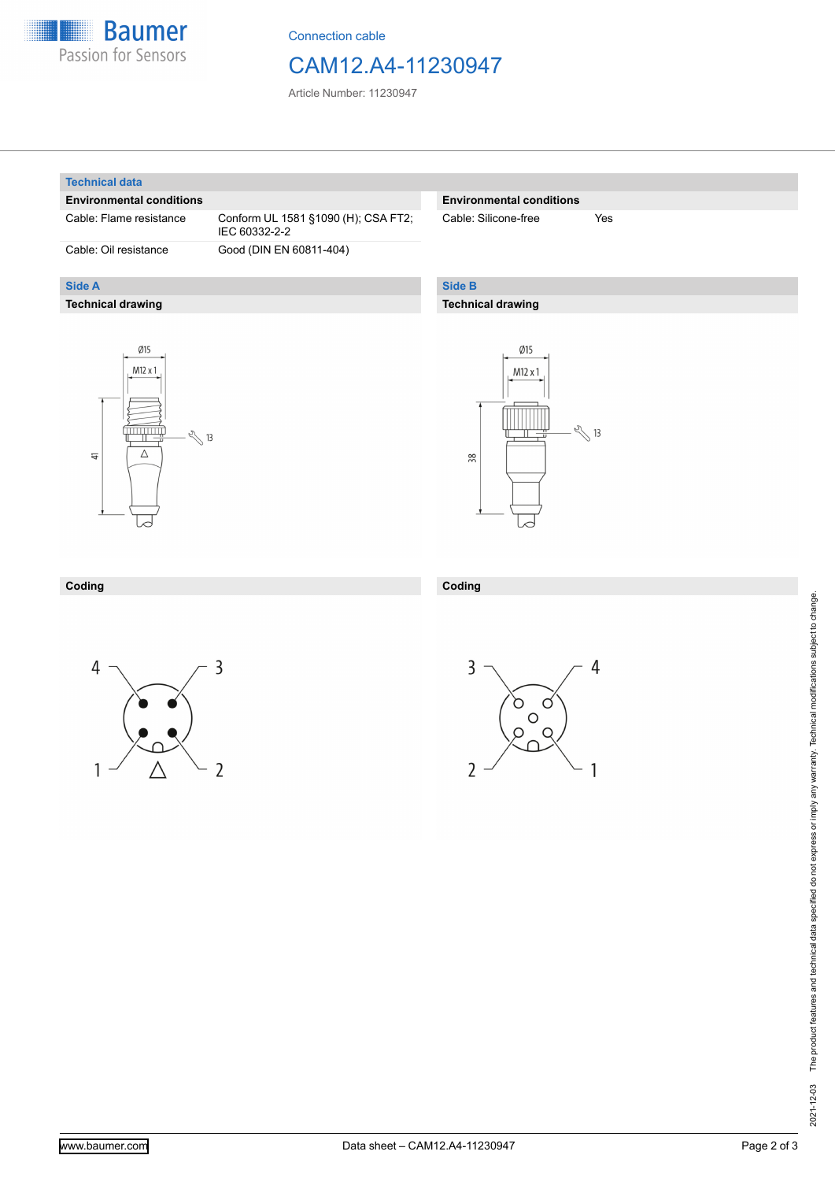

Connection cable

## CAM12.A4-11230947

Article Number: 11230947

#### **Technical data**

**Side A**

#### **Environmental conditions**

Cable: Flame resistance Conform UL 1581 §1090 (H); CSA FT2;

**Technical drawing**

IEC 60332-2-2 Cable: Oil resistance Good (DIN EN 60811-404)

#### **Environmental conditions**

Cable: Silicone-free Yes

### **Side B**

**Coding**

#### **Technical drawing**





#### **Coding**